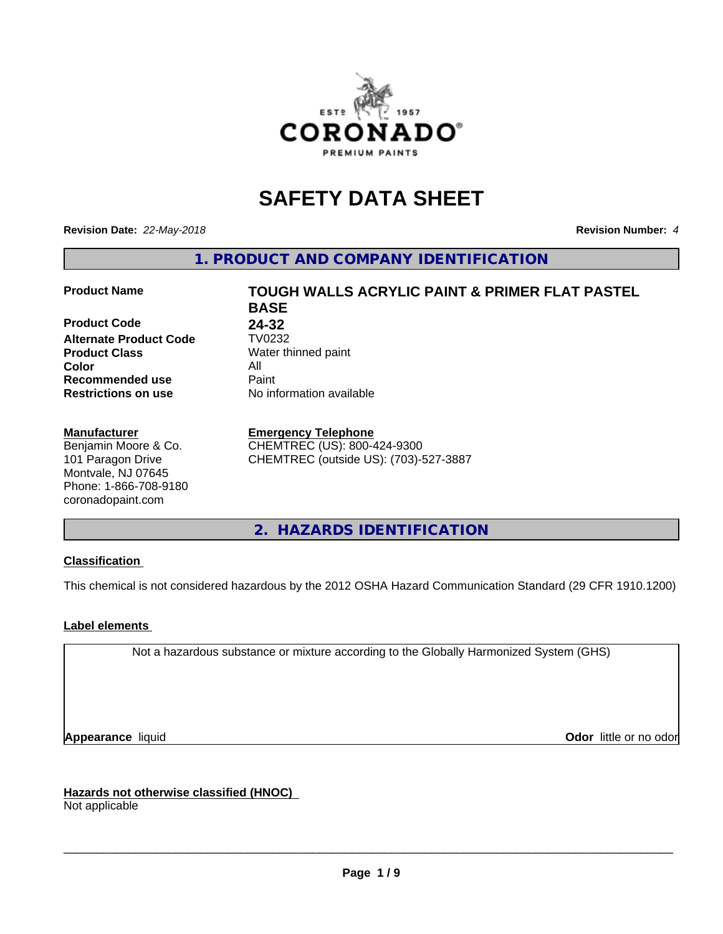

# **SAFETY DATA SHEET**

**Revision Date:** *22-May-2018* **Revision Number:** *4*

**1. PRODUCT AND COMPANY IDENTIFICATION**

**Product Code 24-32<br>
<b>Alternate Product Code** TV0232 **Alternate Product Code Product Class** Water thinned paint<br> **Color** All **Color** All **Recommended use Caint Restrictions on use** No information available

#### **Manufacturer**

Benjamin Moore & Co. 101 Paragon Drive Montvale, NJ 07645 Phone: 1-866-708-9180 coronadopaint.com

# **Product Name TOUGH WALLS ACRYLIC PAINT & PRIMER FLAT PASTEL BASE**

#### **Emergency Telephone**

CHEMTREC (US): 800-424-9300 CHEMTREC (outside US): (703)-527-3887

## **2. HAZARDS IDENTIFICATION**

#### **Classification**

This chemical is not considered hazardous by the 2012 OSHA Hazard Communication Standard (29 CFR 1910.1200)

#### **Label elements**

Not a hazardous substance or mixture according to the Globally Harmonized System (GHS)

**Appearance** liquid **Contract Contract Contract Contract Contract Contract Contract Contract Contract Contract Contract Contract Contract Contract Contract Contract Contract Contract Contract Contract Contract Contract Con** 

**Hazards not otherwise classified (HNOC)**

Not applicable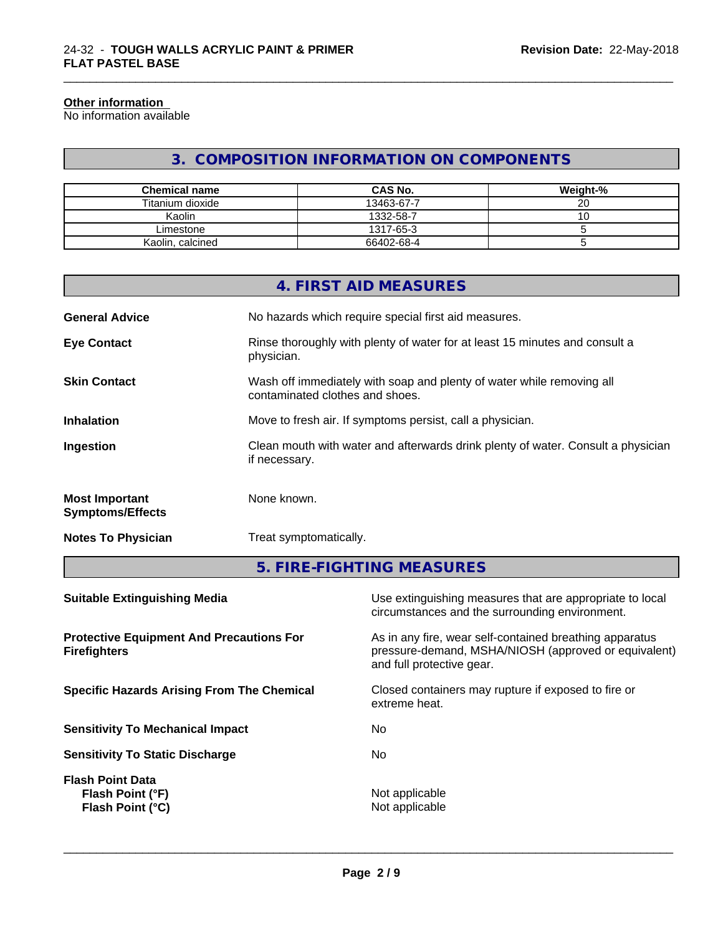#### **Other information**

No information available

# **3. COMPOSITION INFORMATION ON COMPONENTS**

\_\_\_\_\_\_\_\_\_\_\_\_\_\_\_\_\_\_\_\_\_\_\_\_\_\_\_\_\_\_\_\_\_\_\_\_\_\_\_\_\_\_\_\_\_\_\_\_\_\_\_\_\_\_\_\_\_\_\_\_\_\_\_\_\_\_\_\_\_\_\_\_\_\_\_\_\_\_\_\_\_\_\_\_\_\_\_\_\_\_\_\_\_

| <b>Chemical name</b> | <b>CAS No.</b> | Weight-% |
|----------------------|----------------|----------|
| Titanium dioxide     | 13463-67-7     | ~~<br>۷J |
| Kaolin               | 1332-58-7      | ◡        |
| Limestone            | 1317-65-3      |          |
| Kaolin, calcined     | 66402-68-4     |          |

|                                                  | 4. FIRST AID MEASURES                                                                                    |
|--------------------------------------------------|----------------------------------------------------------------------------------------------------------|
| <b>General Advice</b>                            | No hazards which require special first aid measures.                                                     |
| <b>Eye Contact</b>                               | Rinse thoroughly with plenty of water for at least 15 minutes and consult a<br>physician.                |
| <b>Skin Contact</b>                              | Wash off immediately with soap and plenty of water while removing all<br>contaminated clothes and shoes. |
| <b>Inhalation</b>                                | Move to fresh air. If symptoms persist, call a physician.                                                |
| Ingestion                                        | Clean mouth with water and afterwards drink plenty of water. Consult a physician<br>if necessary.        |
| <b>Most Important</b><br><b>Symptoms/Effects</b> | None known.                                                                                              |
|                                                  |                                                                                                          |

**Notes To Physician** Treat symptomatically.

**5. FIRE-FIGHTING MEASURES**

| <b>Suitable Extinguishing Media</b>                                    | Use extinguishing measures that are appropriate to local<br>circumstances and the surrounding environment.                                   |
|------------------------------------------------------------------------|----------------------------------------------------------------------------------------------------------------------------------------------|
| <b>Protective Equipment And Precautions For</b><br><b>Firefighters</b> | As in any fire, wear self-contained breathing apparatus<br>pressure-demand, MSHA/NIOSH (approved or equivalent)<br>and full protective gear. |
| <b>Specific Hazards Arising From The Chemical</b>                      | Closed containers may rupture if exposed to fire or<br>extreme heat.                                                                         |
| <b>Sensitivity To Mechanical Impact</b>                                | No.                                                                                                                                          |
| <b>Sensitivity To Static Discharge</b>                                 | No.                                                                                                                                          |
| <b>Flash Point Data</b><br>Flash Point (°F)<br><b>Flash Point (°C)</b> | Not applicable<br>Not applicable                                                                                                             |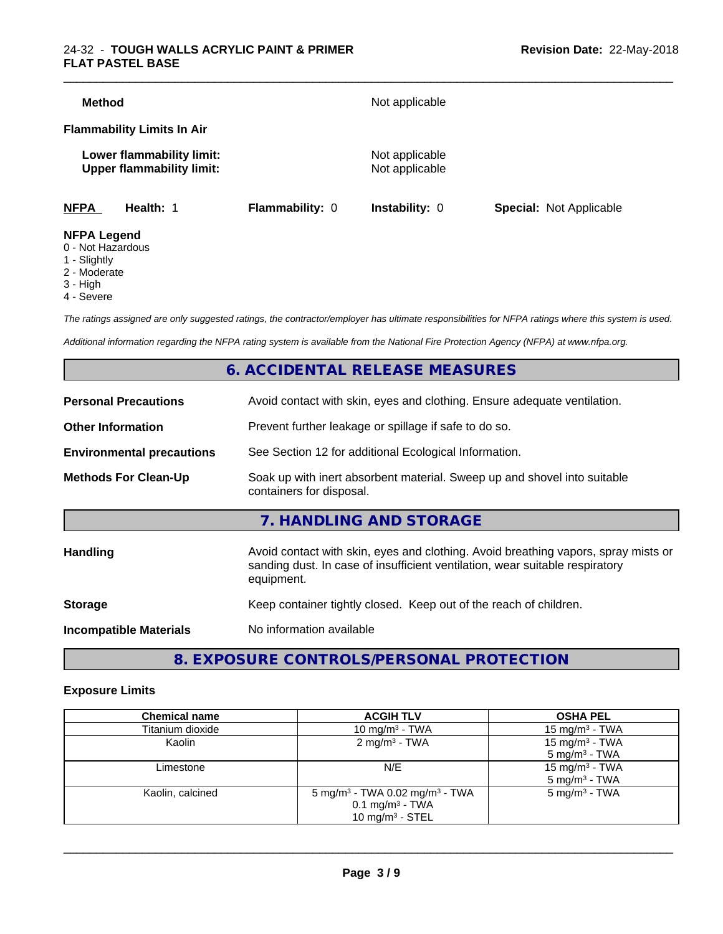|  |                                                    | Not applicable<br>Lower flammability limit: | <b>Flammability Limits In Air</b> |
|--|----------------------------------------------------|---------------------------------------------|-----------------------------------|
|  | Not applicable<br><b>Upper flammability limit:</b> |                                             |                                   |

- 0 Not Hazardous
- 1 Slightly
- 2 Moderate
- 3 High
- 4 Severe

*The ratings assigned are only suggested ratings, the contractor/employer has ultimate responsibilities for NFPA ratings where this system is used.*

*Additional information regarding the NFPA rating system is available from the National Fire Protection Agency (NFPA) at www.nfpa.org.*

# **6. ACCIDENTAL RELEASE MEASURES**

| <b>Personal Precautions</b>      | Avoid contact with skin, eyes and clothing. Ensure adequate ventilation.                                                                                                         |
|----------------------------------|----------------------------------------------------------------------------------------------------------------------------------------------------------------------------------|
| <b>Other Information</b>         | Prevent further leakage or spillage if safe to do so.                                                                                                                            |
| <b>Environmental precautions</b> | See Section 12 for additional Ecological Information.                                                                                                                            |
| <b>Methods For Clean-Up</b>      | Soak up with inert absorbent material. Sweep up and shovel into suitable<br>containers for disposal.                                                                             |
|                                  | 7. HANDLING AND STORAGE                                                                                                                                                          |
| Handling                         | Avoid contact with skin, eyes and clothing. Avoid breathing vapors, spray mists or<br>sanding dust. In case of insufficient ventilation, wear suitable respiratory<br>equipment. |
| <b>Storage</b>                   | Keep container tightly closed. Keep out of the reach of children.                                                                                                                |
| <b>Incompatible Materials</b>    | No information available                                                                                                                                                         |
|                                  |                                                                                                                                                                                  |

**8. EXPOSURE CONTROLS/PERSONAL PROTECTION**

#### **Exposure Limits**

| <b>Chemical name</b> | <b>ACGIH TLV</b>                                                                                              | <b>OSHA PEL</b>                                        |
|----------------------|---------------------------------------------------------------------------------------------------------------|--------------------------------------------------------|
| Titanium dioxide     | 10 mg/m $3$ - TWA                                                                                             | 15 mg/m $3$ - TWA                                      |
| Kaolin               | $2 \text{ mg/m}^3$ - TWA                                                                                      | 15 mg/m <sup>3</sup> - TWA<br>$5 \text{ mg/m}^3$ - TWA |
| Limestone            | N/E                                                                                                           | 15 mg/m <sup>3</sup> - TWA<br>$5 \text{ mg/m}^3$ - TWA |
| Kaolin, calcined     | 5 mg/m <sup>3</sup> - TWA 0.02 mg/m <sup>3</sup> - TWA<br>$0.1$ mg/m <sup>3</sup> - TWA<br>10 mg/m $3 -$ STEL | $5 \text{ mg/m}^3$ - TWA                               |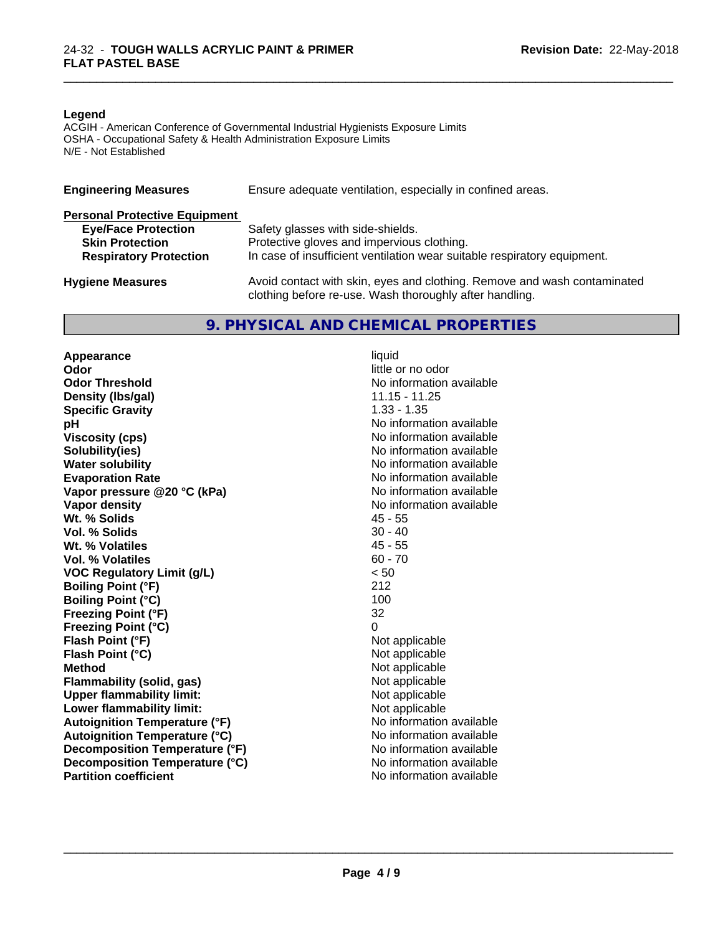#### **Legend**

ACGIH - American Conference of Governmental Industrial Hygienists Exposure Limits OSHA - Occupational Safety & Health Administration Exposure Limits N/E - Not Established

| <b>Engineering Measures</b>          | Ensure adequate ventilation, especially in confined areas.                                                                          |
|--------------------------------------|-------------------------------------------------------------------------------------------------------------------------------------|
| <b>Personal Protective Equipment</b> |                                                                                                                                     |
| <b>Eye/Face Protection</b>           | Safety glasses with side-shields.                                                                                                   |
| <b>Skin Protection</b>               | Protective gloves and impervious clothing.                                                                                          |
| <b>Respiratory Protection</b>        | In case of insufficient ventilation wear suitable respiratory equipment.                                                            |
| <b>Hygiene Measures</b>              | Avoid contact with skin, eyes and clothing. Remove and wash contaminated<br>clothing before re-use. Wash thoroughly after handling. |

#### **9. PHYSICAL AND CHEMICAL PROPERTIES**

**Appearance** liquid<br> **Appearance** liquid<br> **Odor Odor Threshold No information available No information available Density (Ibs/gal)** 11.15 - 11.25<br> **Specific Gravity** 1.33 - 1.35 **Specific Gravity**<br>pH **Viscosity (cps)** No information available **Solubility(ies)** No information available **Water solubility** No information available **Evaporation Rate No information available No information available Vapor pressure @20 °C (kPa)** No information available **Vapor density**<br> **We Solids**<br>
We Solid Wit, % Solids
2018 Wt. % Solids **Vol. % Solids** 30 - 40 **Wt. % Volatiles** 45 - 55<br> **Vol. % Volatiles** 60 - 70 **Vol. % Volatiles VOC Regulatory Limit (g/L)** < 50 **Boiling Point (°F)** 212 **Boiling Point (°C)** 100 **Freezing Point (°F)** 32 **Freezing Point (°C)** 0 **Flash Point (°F)** Not applicable **Flash Point (°C)** Not applicable **Method**<br> **Flammability (solid, gas)**<br> **Commability (solid, gas)**<br> **Not** applicable **Flammability** (solid, gas) **Upper flammability limit:**<br> **Lower flammability limit:** Not applicable Not applicable **Lower flammability limit:**<br> **Autoignition Temperature (°F)** Not applicable available and the Mustafable and Mustafable and Mustafable and Mu **Autoignition Temperature (°F) Autoignition Temperature (°C)** No information available **Decomposition Temperature (°F)** No information available **Decomposition Temperature (°C)** No information available **Partition coefficient** and the settlement of the settlement of the No information available

**Odor** little or no odor **No information available** 

 $\overline{\phantom{a}}$  ,  $\overline{\phantom{a}}$  ,  $\overline{\phantom{a}}$  ,  $\overline{\phantom{a}}$  ,  $\overline{\phantom{a}}$  ,  $\overline{\phantom{a}}$  ,  $\overline{\phantom{a}}$  ,  $\overline{\phantom{a}}$  ,  $\overline{\phantom{a}}$  ,  $\overline{\phantom{a}}$  ,  $\overline{\phantom{a}}$  ,  $\overline{\phantom{a}}$  ,  $\overline{\phantom{a}}$  ,  $\overline{\phantom{a}}$  ,  $\overline{\phantom{a}}$  ,  $\overline{\phantom{a}}$ 

\_\_\_\_\_\_\_\_\_\_\_\_\_\_\_\_\_\_\_\_\_\_\_\_\_\_\_\_\_\_\_\_\_\_\_\_\_\_\_\_\_\_\_\_\_\_\_\_\_\_\_\_\_\_\_\_\_\_\_\_\_\_\_\_\_\_\_\_\_\_\_\_\_\_\_\_\_\_\_\_\_\_\_\_\_\_\_\_\_\_\_\_\_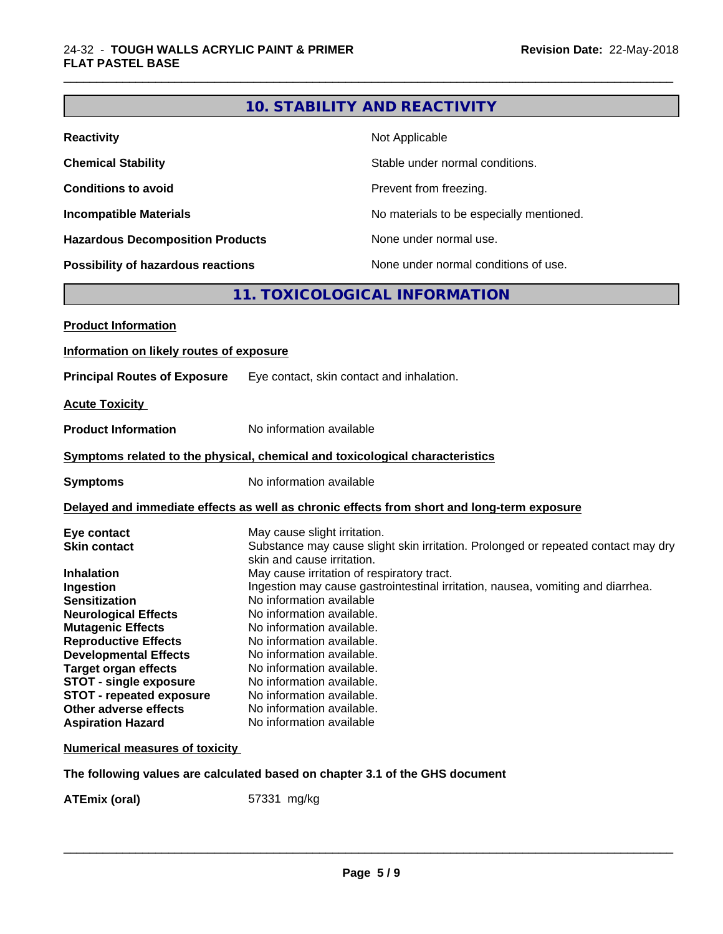# **10. STABILITY AND REACTIVITY**

\_\_\_\_\_\_\_\_\_\_\_\_\_\_\_\_\_\_\_\_\_\_\_\_\_\_\_\_\_\_\_\_\_\_\_\_\_\_\_\_\_\_\_\_\_\_\_\_\_\_\_\_\_\_\_\_\_\_\_\_\_\_\_\_\_\_\_\_\_\_\_\_\_\_\_\_\_\_\_\_\_\_\_\_\_\_\_\_\_\_\_\_\_

| <b>Reactivity</b>                       | Not Applicable                           |
|-----------------------------------------|------------------------------------------|
| <b>Chemical Stability</b>               | Stable under normal conditions.          |
| <b>Conditions to avoid</b>              | Prevent from freezing.                   |
| <b>Incompatible Materials</b>           | No materials to be especially mentioned. |
| <b>Hazardous Decomposition Products</b> | None under normal use.                   |
| Possibility of hazardous reactions      | None under normal conditions of use.     |

# **11. TOXICOLOGICAL INFORMATION**

| <b>Product Information</b>               |                                                                                                                 |
|------------------------------------------|-----------------------------------------------------------------------------------------------------------------|
| Information on likely routes of exposure |                                                                                                                 |
| <b>Principal Routes of Exposure</b>      | Eye contact, skin contact and inhalation.                                                                       |
| <b>Acute Toxicity</b>                    |                                                                                                                 |
| <b>Product Information</b>               | No information available                                                                                        |
|                                          | Symptoms related to the physical, chemical and toxicological characteristics                                    |
| <b>Symptoms</b>                          | No information available                                                                                        |
|                                          | Delayed and immediate effects as well as chronic effects from short and long-term exposure                      |
| Eye contact                              | May cause slight irritation.                                                                                    |
| <b>Skin contact</b>                      | Substance may cause slight skin irritation. Prolonged or repeated contact may dry<br>skin and cause irritation. |
| <b>Inhalation</b>                        | May cause irritation of respiratory tract.                                                                      |
| Ingestion                                | Ingestion may cause gastrointestinal irritation, nausea, vomiting and diarrhea.                                 |
| <b>Sensitization</b>                     | No information available                                                                                        |
| <b>Neurological Effects</b>              | No information available.                                                                                       |
| <b>Mutagenic Effects</b>                 | No information available.                                                                                       |
| <b>Reproductive Effects</b>              | No information available.                                                                                       |
| <b>Developmental Effects</b>             | No information available.                                                                                       |
| <b>Target organ effects</b>              | No information available.                                                                                       |
| <b>STOT - single exposure</b>            | No information available.                                                                                       |
| <b>STOT - repeated exposure</b>          | No information available.                                                                                       |
| Other adverse effects                    | No information available.                                                                                       |
| <b>Aspiration Hazard</b>                 | No information available                                                                                        |
| <b>Numerical measures of toxicity</b>    |                                                                                                                 |

**The following values are calculated based on chapter 3.1 of the GHS document**

**ATEmix (oral)** 57331 mg/kg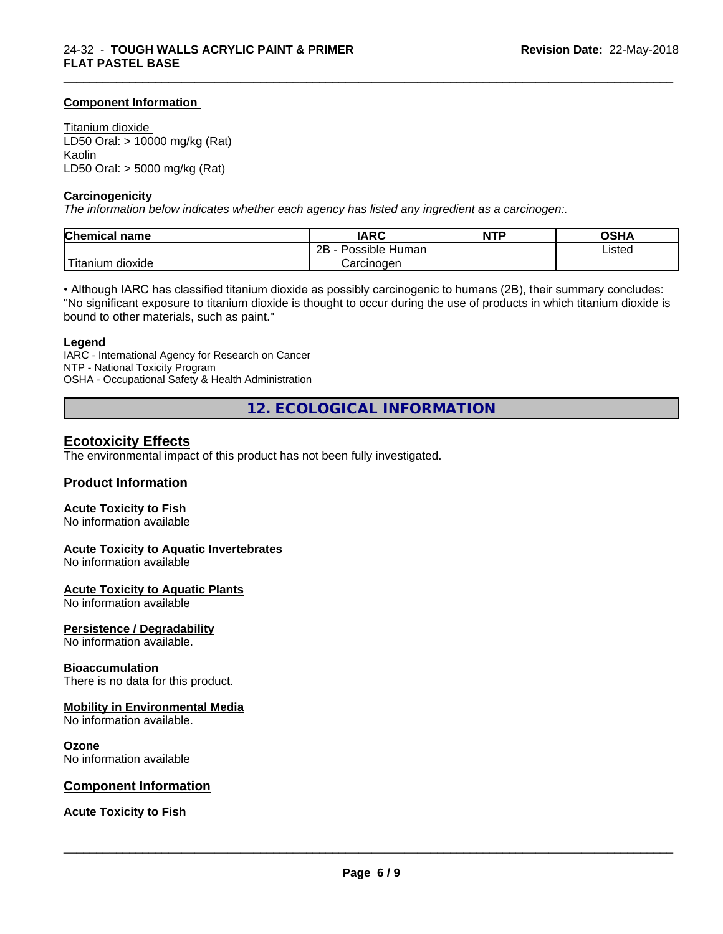#### **Component Information**

Titanium dioxide LD50 Oral: > 10000 mg/kg (Rat) Kaolin LD50 Oral: > 5000 mg/kg (Rat)

#### **Carcinogenicity**

*The information below indicateswhether each agency has listed any ingredient as a carcinogen:.*

| <b>Chemical name</b>  | <b>IARC</b>                    | <b>NTP</b> | OSHA   |
|-----------------------|--------------------------------|------------|--------|
|                       | .<br>2B<br>: Human<br>Possible |            | Listed |
| .<br>litanium dioxide | Carcinoɑen                     |            |        |

\_\_\_\_\_\_\_\_\_\_\_\_\_\_\_\_\_\_\_\_\_\_\_\_\_\_\_\_\_\_\_\_\_\_\_\_\_\_\_\_\_\_\_\_\_\_\_\_\_\_\_\_\_\_\_\_\_\_\_\_\_\_\_\_\_\_\_\_\_\_\_\_\_\_\_\_\_\_\_\_\_\_\_\_\_\_\_\_\_\_\_\_\_

• Although IARC has classified titanium dioxide as possibly carcinogenic to humans (2B), their summary concludes: "No significant exposure to titanium dioxide is thought to occur during the use of products in which titanium dioxide is bound to other materials, such as paint."

#### **Legend**

IARC - International Agency for Research on Cancer NTP - National Toxicity Program OSHA - Occupational Safety & Health Administration

**12. ECOLOGICAL INFORMATION**

#### **Ecotoxicity Effects**

The environmental impact of this product has not been fully investigated.

#### **Product Information**

#### **Acute Toxicity to Fish**

No information available

#### **Acute Toxicity to Aquatic Invertebrates**

No information available

#### **Acute Toxicity to Aquatic Plants**

No information available

#### **Persistence / Degradability**

No information available.

#### **Bioaccumulation**

There is no data for this product.

#### **Mobility in Environmental Media**

No information available.

#### **Ozone**

No information available

#### **Component Information**

#### **Acute Toxicity to Fish**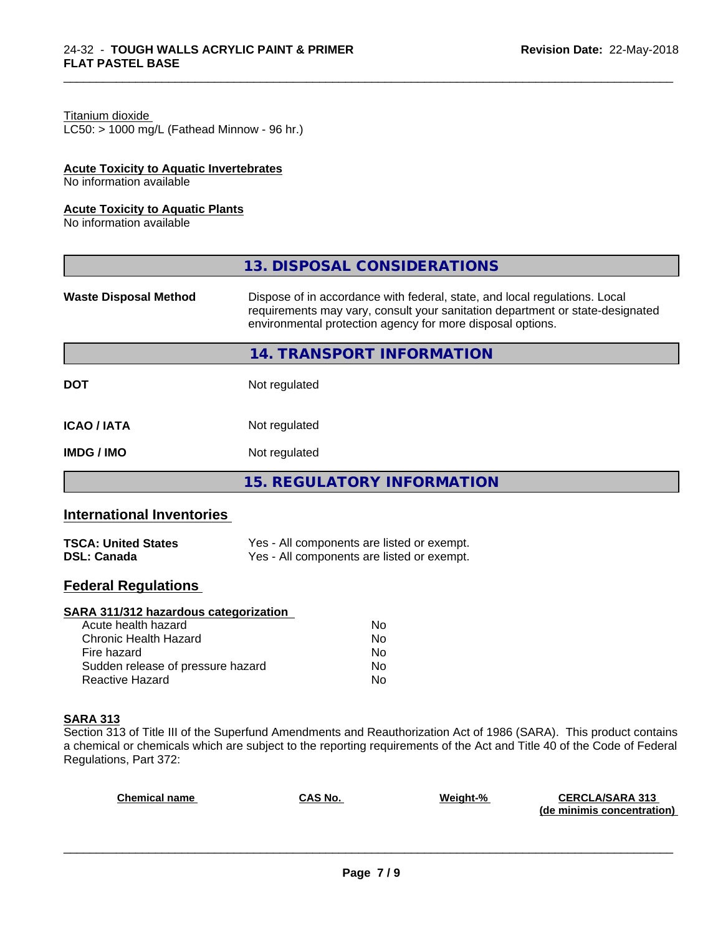#### Titanium dioxide

 $LC50:$  > 1000 mg/L (Fathead Minnow - 96 hr.)

#### **Acute Toxicity to Aquatic Invertebrates**

No information available

#### **Acute Toxicity to Aquatic Plants**

No information available

|                              | 13. DISPOSAL CONSIDERATIONS                                                                                                                                                                                               |
|------------------------------|---------------------------------------------------------------------------------------------------------------------------------------------------------------------------------------------------------------------------|
| <b>Waste Disposal Method</b> | Dispose of in accordance with federal, state, and local regulations. Local<br>requirements may vary, consult your sanitation department or state-designated<br>environmental protection agency for more disposal options. |
|                              | 14. TRANSPORT INFORMATION                                                                                                                                                                                                 |
| <b>DOT</b>                   | Not regulated                                                                                                                                                                                                             |
| <b>ICAO/IATA</b>             | Not regulated                                                                                                                                                                                                             |
| <b>IMDG/IMO</b>              | Not regulated                                                                                                                                                                                                             |
|                              | 15. REGULATORY INFORMATION                                                                                                                                                                                                |

\_\_\_\_\_\_\_\_\_\_\_\_\_\_\_\_\_\_\_\_\_\_\_\_\_\_\_\_\_\_\_\_\_\_\_\_\_\_\_\_\_\_\_\_\_\_\_\_\_\_\_\_\_\_\_\_\_\_\_\_\_\_\_\_\_\_\_\_\_\_\_\_\_\_\_\_\_\_\_\_\_\_\_\_\_\_\_\_\_\_\_\_\_

#### **International Inventories**

| <b>TSCA: United States</b> | Yes - All components are listed or exempt. |
|----------------------------|--------------------------------------------|
| <b>DSL: Canada</b>         | Yes - All components are listed or exempt. |

#### **Federal Regulations**

#### **SARA 311/312 hazardous categorization**

| Acute health hazard               | No. |  |
|-----------------------------------|-----|--|
| Chronic Health Hazard             | No. |  |
| Fire hazard                       | No. |  |
| Sudden release of pressure hazard | Nο  |  |
| Reactive Hazard                   | Nο  |  |

#### **SARA 313**

Section 313 of Title III of the Superfund Amendments and Reauthorization Act of 1986 (SARA). This product contains a chemical or chemicals which are subject to the reporting requirements of the Act and Title 40 of the Code of Federal Regulations, Part 372:

| <b>Chemical name</b> | <b>CAS No.</b> | Weight-% | <b>CERCLA/SARA 313</b>     |
|----------------------|----------------|----------|----------------------------|
|                      |                |          | (de minimis concentration) |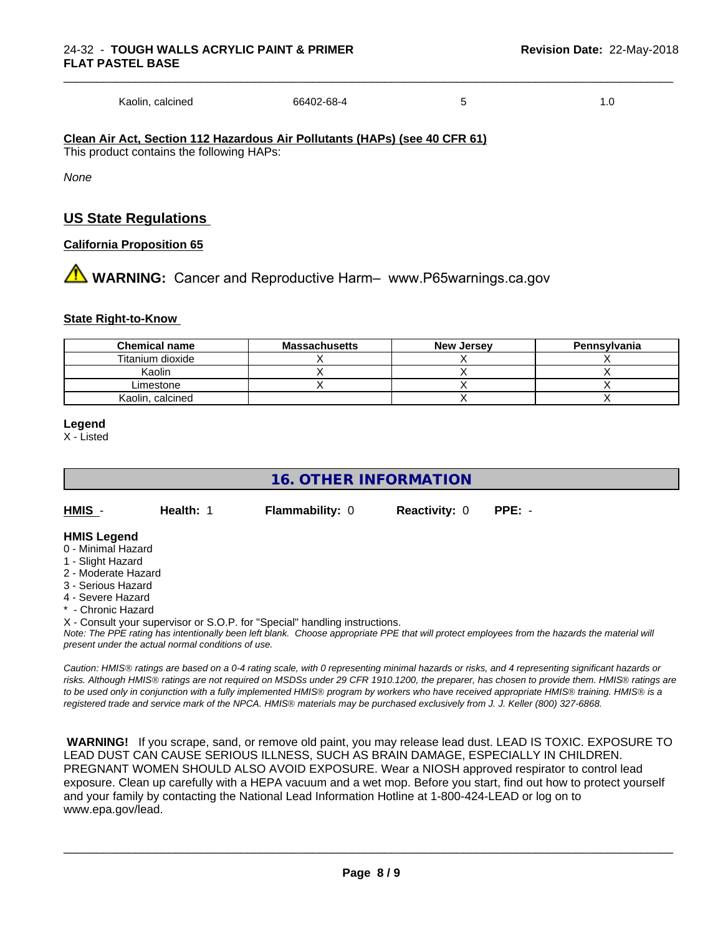Kaolin, calcined 66402-68-4 5 1.0

**Clean Air Act,Section 112 Hazardous Air Pollutants (HAPs) (see 40 CFR 61)** This product contains the following HAPs:

*None*

#### **US State Regulations**

#### **California Proposition 65**

**1** WARNING: Cancer and Reproductive Harm– www.P65warnings.ca.gov

#### **State Right-to-Know**

| <b>Chemical name</b> | <b>Massachusetts</b> | <b>New Jersey</b> | Pennsylvania |
|----------------------|----------------------|-------------------|--------------|
| Titanium dioxide     |                      |                   |              |
| Kaolin               |                      |                   |              |
| Limestone            |                      |                   |              |
| Kaolin, calcined     |                      |                   |              |

#### **Legend**

X - Listed

#### **16. OTHER INFORMATION**

| HMIS | Health: 1 | <b>Flammability: 0</b> | <b>Reactivity: 0 PPE: -</b> |  |
|------|-----------|------------------------|-----------------------------|--|
|      |           |                        |                             |  |

#### **HMIS Legend**

- 0 Minimal Hazard
- 1 Slight Hazard
- 2 Moderate Hazard
- 3 Serious Hazard
- 4 Severe Hazard
- **Chronic Hazard**

X - Consult your supervisor or S.O.P. for "Special" handling instructions.

*Note: The PPE rating has intentionally been left blank. Choose appropriate PPE that will protect employees from the hazards the material will present under the actual normal conditions of use.*

*Caution: HMISÒ ratings are based on a 0-4 rating scale, with 0 representing minimal hazards or risks, and 4 representing significant hazards or risks. Although HMISÒ ratings are not required on MSDSs under 29 CFR 1910.1200, the preparer, has chosen to provide them. HMISÒ ratings are to be used only in conjunction with a fully implemented HMISÒ program by workers who have received appropriate HMISÒ training. HMISÒ is a registered trade and service mark of the NPCA. HMISÒ materials may be purchased exclusively from J. J. Keller (800) 327-6868.*

 **WARNING!** If you scrape, sand, or remove old paint, you may release lead dust. LEAD IS TOXIC. EXPOSURE TO LEAD DUST CAN CAUSE SERIOUS ILLNESS, SUCH AS BRAIN DAMAGE, ESPECIALLY IN CHILDREN. PREGNANT WOMEN SHOULD ALSO AVOID EXPOSURE.Wear a NIOSH approved respirator to control lead exposure. Clean up carefully with a HEPA vacuum and a wet mop. Before you start, find out how to protect yourself and your family by contacting the National Lead Information Hotline at 1-800-424-LEAD or log on to www.epa.gov/lead.